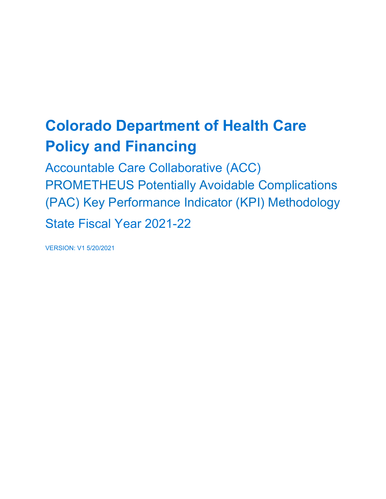# **Colorado Department of Health Care Policy and Financing**

Accountable Care Collaborative (ACC) PROMETHEUS Potentially Avoidable Complications (PAC) Key Performance Indicator (KPI) Methodology State Fiscal Year 2021-22

VERSION: V1 5/20/2021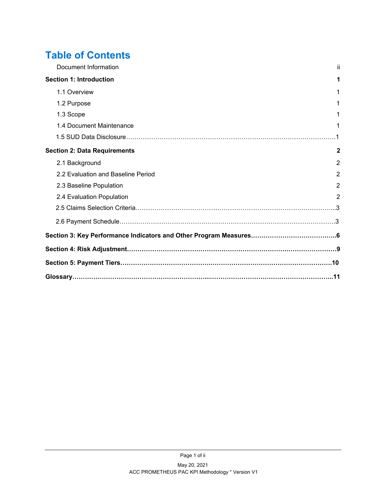### **Table of Contents**

| Document Information                | ii.            |
|-------------------------------------|----------------|
| <b>Section 1: Introduction</b>      |                |
| 1.1 Overview                        | 1              |
| 1.2 Purpose                         |                |
| 1.3 Scope                           |                |
| 1.4 Document Maintenance            |                |
|                                     |                |
| <b>Section 2: Data Requirements</b> | $\mathbf{2}$   |
| 2.1 Background                      | $\overline{2}$ |
| 2.2 Evaluation and Baseline Period  | $\overline{2}$ |
| 2.3 Baseline Population             | $\overline{2}$ |
| 2.4 Evaluation Population           | $\overline{2}$ |
|                                     |                |
|                                     |                |
|                                     |                |
|                                     |                |
|                                     |                |
|                                     |                |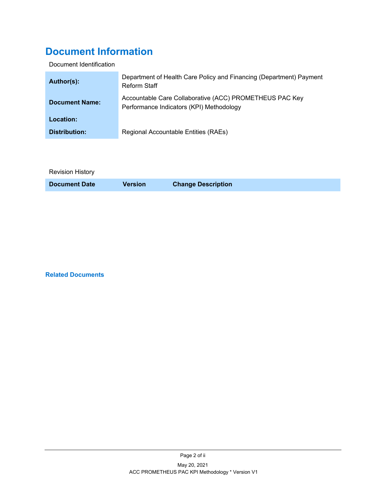### <span id="page-2-0"></span>**Document Information**

Document Identification

| Author(s):            | Department of Health Care Policy and Financing (Department) Payment<br>Reform Staff                 |
|-----------------------|-----------------------------------------------------------------------------------------------------|
| <b>Document Name:</b> | Accountable Care Collaborative (ACC) PROMETHEUS PAC Key<br>Performance Indicators (KPI) Methodology |
| Location:             |                                                                                                     |
| Distribution:         | Regional Accountable Entities (RAEs)                                                                |

Revision History

**Document Date Version Change Description**

**Related Documents**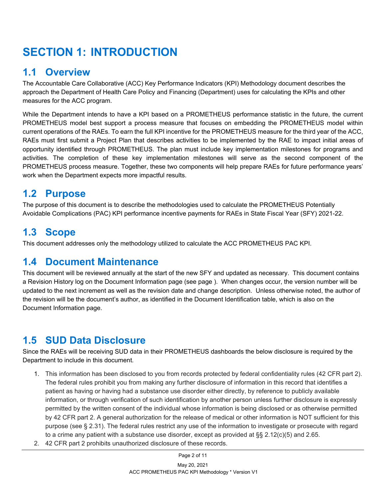## **SECTION 1: INTRODUCTION**

#### <span id="page-4-0"></span>**1.1 Overview**

The Accountable Care Collaborative (ACC) Key Performance Indicators (KPI) Methodology document describes the approach the Department of Health Care Policy and Financing (Department) uses for calculating the KPIs and other measures for the ACC program.

<span id="page-4-1"></span>While the Department intends to have a KPI based on a PROMETHEUS performance statistic in the future, the current PROMETHEUS model best support a process measure that focuses on embedding the PROMETHEUS model within current operations of the RAEs. To earn the full KPI incentive for the PROMETHEUS measure for the third year of the ACC, RAEs must first submit a Project Plan that describes activities to be implemented by the RAE to impact initial areas of opportunity identified through PROMETHEUS. The plan must include key implementation milestones for programs and activities. The completion of these key implementation milestones will serve as the second component of the PROMETHEUS process measure. Together, these two components will help prepare RAEs for future performance years' work when the Department expects more impactful results.

#### **1.2 Purpose**

The purpose of this document is to describe the methodologies used to calculate the PROMETHEUS Potentially Avoidable Complications (PAC) KPI performance incentive payments for RAEs in State Fiscal Year (SFY) 2021-22.

### <span id="page-4-2"></span>**1.3 Scope**

This document addresses only the methodology utilized to calculate the ACC PROMETHEUS PAC KPI.

#### <span id="page-4-3"></span>**1.4 Document Maintenance**

This document will be reviewed annually at the start of the new SFY and updated as necessary. This document contains a Revision History log on the Document Information page (see page ). When changes occur, the version number will be updated to the next increment as well as the revision date and change description. Unless otherwise noted, the author of the revision will be the document's author, as identified in the Document Identification table, which is also on the Document Information page.

### **1.5 SUD Data Disclosure**

Since the RAEs will be receiving SUD data in their PROMETHEUS dashboards the below disclosure is required by the Department to include in this document.

- 1. This information has been disclosed to you from records protected by federal confidentiality rules (42 CFR part 2). The federal rules prohibit you from making any further disclosure of information in this record that identifies a patient as having or having had a substance use disorder either directly, by reference to publicly available information, or through verification of such identification by another person unless further disclosure is expressly permitted by the written consent of the individual whose information is being disclosed or as otherwise permitted by 42 CFR part 2. A general authorization for the release of medical or other information is NOT sufficient for this purpose (see § 2.31). The federal rules restrict any use of the information to investigate or prosecute with regard to a crime any patient with a substance use disorder, except as provided at  $\S$ § 2.12(c)(5) and 2.65.
- 2. 42 CFR part 2 prohibits unauthorized disclosure of these records.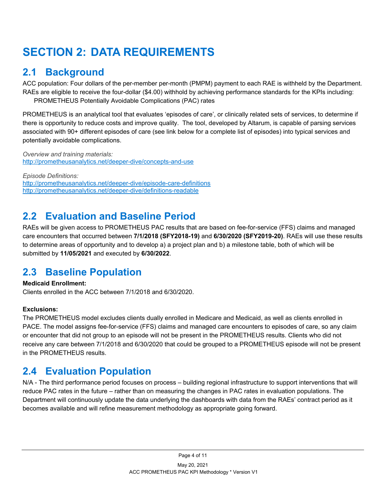## **SECTION 2: DATA REQUIREMENTS**

### <span id="page-6-0"></span>**2.1 Background**

ACC population: Four dollars of the per-member per-month (PMPM) payment to each RAE is withheld by the Department. RAEs are eligible to receive the four-dollar (\$4.00) withhold by achieving performance standards for the KPIs including: PROMETHEUS Potentially Avoidable Complications (PAC) rates

PROMETHEUS is an analytical tool that evaluates 'episodes of care', or clinically related sets of services, to determine if there is opportunity to reduce costs and improve quality. The tool, developed by Altarum, is capable of parsing services associated with 90+ different episodes of care (see link below for a complete list of episodes) into typical services and potentially avoidable complications.

*Overview and training materials:* <http://prometheusanalytics.net/deeper-dive/concepts-and-use>

*Episode Definitions:* <http://prometheusanalytics.net/deeper-dive/episode-care-definitions> <http://prometheusanalytics.net/deeper-dive/definitions-readable>

### <span id="page-6-1"></span>**2.2 Evaluation and Baseline Period**

RAEs will be given access to PROMETHEUS PAC results that are based on fee-for-service (FFS) claims and managed care encounters that occurred between **7/1/2018 (SFY2018-19)** and **6/30/2020 (SFY2019-20)**. RAEs will use these results to determine areas of opportunity and to develop a) a project plan and b) a milestone table, both of which will be submitted by **11/05/2021** and executed by **6/30/2022**.

### <span id="page-6-2"></span>**2.3 Baseline Population**

#### **Medicaid Enrollment:**

Clients enrolled in the ACC between 7/1/2018 and 6/30/2020.

#### **Exclusions:**

The PROMETHEUS model excludes clients dually enrolled in Medicare and Medicaid, as well as clients enrolled in PACE. The model assigns fee-for-service (FFS) claims and managed care encounters to episodes of care, so any claim or encounter that did not group to an episode will not be present in the PROMETHEUS results. Clients who did not receive any care between 7/1/2018 and 6/30/2020 that could be grouped to a PROMETHEUS episode will not be present in the PROMETHEUS results.

#### <span id="page-6-3"></span>**2.4 Evaluation Population**

N/A - The third performance period focuses on process – building regional infrastructure to support interventions that will reduce PAC rates in the future – rather than on measuring the changes in PAC rates in evaluation populations. The Department will continuously update the data underlying the dashboards with data from the RAEs' contract period as it becomes available and will refine measurement methodology as appropriate going forward.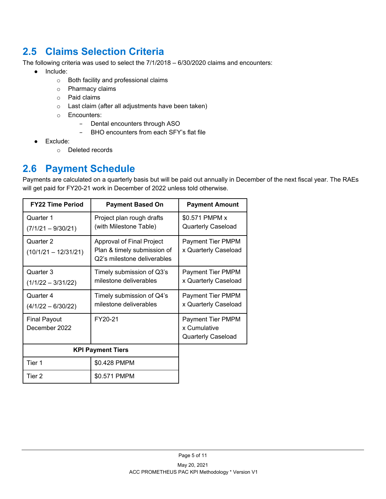#### **2.5 Claims Selection Criteria**

The following criteria was used to select the 7/1/2018 – 6/30/2020 claims and encounters:

- Include:
	- o Both facility and professional claims
	- o Pharmacy claims
	- o Paid claims
	- o Last claim (after all adjustments have been taken)
	- o Encounters:
		- − Dental encounters through ASO
		- − BHO encounters from each SFY's flat file
- Exclude:
	- o Deleted records

#### **2.6 Payment Schedule**

Payments are calculated on a quarterly basis but will be paid out annually in December of the next fiscal year. The RAEs will get paid for FY20-21 work in December of 2022 unless told otherwise.

| <b>FY22 Time Period</b>              | <b>Payment Based On</b>                                                                 | <b>Payment Amount</b>                                                 |
|--------------------------------------|-----------------------------------------------------------------------------------------|-----------------------------------------------------------------------|
| Quarter 1<br>$(7/1/21 - 9/30/21)$    | Project plan rough drafts<br>(with Milestone Table)                                     | \$0.571 PMPM x<br><b>Quarterly Caseload</b>                           |
| Quarter 2<br>$(10/1/21 - 12/31/21)$  | Approval of Final Project<br>Plan & timely submission of<br>Q2's milestone deliverables | Payment Tier PMPM<br>x Quarterly Caseload                             |
| Quarter 3<br>$(1/1/22 - 3/31/22)$    | Timely submission of Q3's<br>milestone deliverables                                     | <b>Payment Tier PMPM</b><br>x Quarterly Caseload                      |
| Quarter 4<br>$(4/1/22 - 6/30/22)$    | Timely submission of Q4's<br>milestone deliverables                                     | <b>Payment Tier PMPM</b><br>x Quarterly Caseload                      |
| <b>Final Payout</b><br>December 2022 | FY20-21                                                                                 | <b>Payment Tier PMPM</b><br>x Cumulative<br><b>Quarterly Caseload</b> |
|                                      | <b>KPI Payment Tiers</b>                                                                |                                                                       |
| Tier 1                               | \$0.428 PMPM                                                                            |                                                                       |
| Tier 2                               | \$0.571 PMPM                                                                            |                                                                       |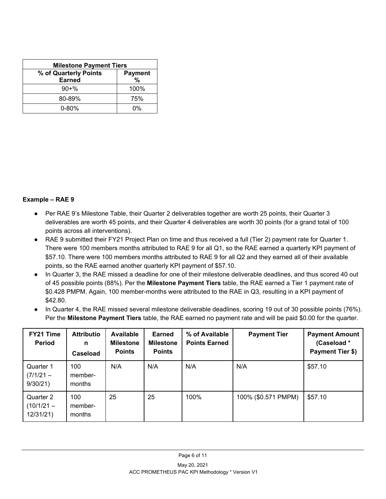| <b>Milestone Payment Tiers</b> |                |  |  |  |
|--------------------------------|----------------|--|--|--|
| % of Quarterly Points          | <b>Payment</b> |  |  |  |
| <b>Earned</b>                  | %              |  |  |  |
| $90 + \%$                      | 100%           |  |  |  |
| 80-89%                         | 75%            |  |  |  |
| $0 - 80%$                      | በ%             |  |  |  |

#### **Example – RAE 9**

- Per RAE 9's Milestone Table, their Quarter 2 deliverables together are worth 25 points, their Quarter 3 deliverables are worth 45 points, and their Quarter 4 deliverables are worth 30 points (for a grand total of 100 points across all interventions).
- RAE 9 submitted their FY21 Project Plan on time and thus received a full (Tier 2) payment rate for Quarter 1. There were 100 members months attributed to RAE 9 for all Q1, so the RAE earned a quarterly KPI payment of \$57.10. There were 100 members months attributed to RAE 9 for all Q2 and they earned all of their available points, so the RAE earned another quarterly KPI payment of \$57.10.
- In Quarter 3, the RAE missed a deadline for one of their milestone deliverable deadlines, and thus scored 40 out of 45 possible points (88%). Per the **Milestone Payment Tiers** table, the RAE earned a Tier 1 payment rate of \$0.428 PMPM. Again, 100 member-months were attributed to the RAE in Q3, resulting in a KPI payment of \$42.80.
- In Quarter 4, the RAE missed several milestone deliverable deadlines, scoring 19 out of 30 possible points (76%). Per the **Milestone Payment Tiers** table, the RAE earned no payment rate and will be paid \$0.00 for the quarter.

| FY21 Time<br><b>Period</b>            | <b>Attributio</b><br>n<br>Caseload | Available<br><b>Milestone</b><br><b>Points</b> | <b>Earned</b><br><b>Milestone</b><br><b>Points</b> | % of Available<br><b>Points Earned</b> | <b>Payment Tier</b> | <b>Payment Amount</b><br>(Caseload*<br>Payment Tier \$) |
|---------------------------------------|------------------------------------|------------------------------------------------|----------------------------------------------------|----------------------------------------|---------------------|---------------------------------------------------------|
| Quarter 1<br>$(7/1/21 -$<br>9/30/21   | 100<br>member-<br>months           | N/A                                            | N/A                                                | N/A                                    | N/A                 | \$57.10                                                 |
| Quarter 2<br>$(10/1/21 -$<br>12/31/21 | 100<br>member-<br>months           | 25                                             | 25                                                 | 100%                                   | 100% (\$0.571 PMPM) | \$57.10                                                 |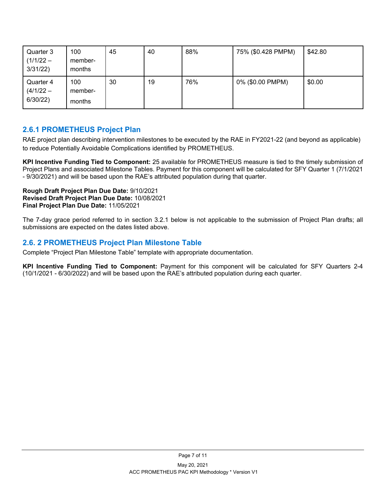| Quarter 3<br>$(1/1/22 - )$<br>3/31/22 | 100<br>member-<br>months | 45 | 40 | 88% | 75% (\$0.428 PMPM) | \$42.80 |
|---------------------------------------|--------------------------|----|----|-----|--------------------|---------|
| Quarter 4<br>$(4/1/22 -$<br>6/30/22)  | 100<br>member-<br>months | 30 | 19 | 76% | 0% (\$0.00 PMPM)   | \$0.00  |

#### **2.6.1 PROMETHEUS Project Plan**

RAE project plan describing intervention milestones to be executed by the RAE in FY2021-22 (and beyond as applicable) to reduce Potentially Avoidable Complications identified by PROMETHEUS.

**KPI Incentive Funding Tied to Component:** 25 available for PROMETHEUS measure is tied to the timely submission of Project Plans and associated Milestone Tables. Payment for this component will be calculated for SFY Quarter 1 (7/1/2021 - 9/30/2021) and will be based upon the RAE's attributed population during that quarter.

**Rough Draft Project Plan Due Date:** 9/10/2021 **Revised Draft Project Plan Due Date:** 10/08/2021 **Final Project Plan Due Date:** 11/05/2021

The 7-day grace period referred to in section 3.2.1 below is not applicable to the submission of Project Plan drafts; all submissions are expected on the dates listed above.

#### **2.6. 2 PROMETHEUS Project Plan Milestone Table**

Complete "Project Plan Milestone Table" template with appropriate documentation.

**KPI Incentive Funding Tied to Component:** Payment for this component will be calculated for SFY Quarters 2-4 (10/1/2021 - 6/30/2022) and will be based upon the RAE's attributed population during each quarter.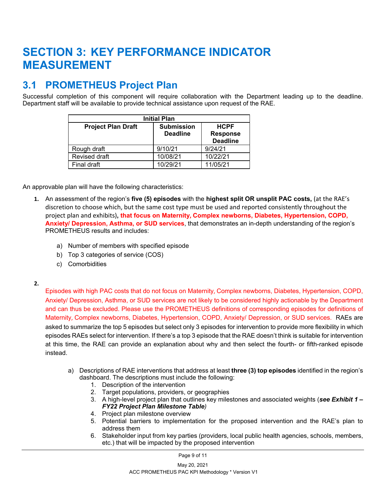### **SECTION 3: KEY PERFORMANCE INDICATOR MEASUREMENT**

#### **3.1 PROMETHEUS Project Plan**

Successful completion of this component will require collaboration with the Department leading up to the deadline. Department staff will be available to provide technical assistance upon request of the RAE.

| <b>Initial Plan</b>       |                                      |                                                   |  |  |  |
|---------------------------|--------------------------------------|---------------------------------------------------|--|--|--|
| <b>Project Plan Draft</b> | <b>Submission</b><br><b>Deadline</b> | <b>HCPF</b><br><b>Response</b><br><b>Deadline</b> |  |  |  |
| Rough draft               | 9/10/21                              | 9/24/21                                           |  |  |  |
| Revised draft             | 10/08/21                             | 10/22/21                                          |  |  |  |
| Final draft               | 10/29/21                             | 11/05/21                                          |  |  |  |

An approvable plan will have the following characteristics:

- **1.** An assessment of the region's **five (5) episodes** with the **highest split OR unsplit PAC costs,** (at the RAE's discretion to choose which, but the same cost type must be used and reported consistently throughout the project plan and exhibits)**, that focus on Maternity, Complex newborns, Diabetes, Hypertension, COPD, Anxiety/ Depression, Asthma, or SUD services**, that demonstrates an in-depth understanding of the region's PROMETHEUS results and includes:
	- a) Number of members with specified episode
	- b) Top 3 categories of service (COS)
	- c) Comorbidities

#### **2.**

Episodes with high PAC costs that do not focus on Maternity, Complex newborns, Diabetes, Hypertension, COPD, Anxiety/ Depression, Asthma, or SUD services are not likely to be considered highly actionable by the Department and can thus be excluded. Please use the PROMETHEUS definitions of corresponding episodes for definitions of Maternity, Complex newborns, Diabetes, Hypertension, COPD, Anxiety/ Depression, or SUD services. RAEs are asked to summarize the top 5 episodes but select only 3 episodes for intervention to provide more flexibility in which episodes RAEs select for intervention. If there's a top 3 episode that the RAE doesn't think is suitable for intervention at this time, the RAE can provide an explanation about why and then select the fourth- or fifth-ranked episode instead.

- a) Descriptions of RAE interventions that address at least **three (3) top episodes** identified in the region's dashboard. The descriptions must include the following:
	- 1. Description of the intervention
	- 2. Target populations, providers, or geographies
	- 3. A high-level project plan that outlines key milestones and associated weights (*see Exhibit 1 – FY22 Project Plan Milestone Table)*
	- 4. Project plan milestone overview
	- 5. Potential barriers to implementation for the proposed intervention and the RAE's plan to address them
	- 6. Stakeholder input from key parties (providers, local public health agencies, schools, members, etc.) that will be impacted by the proposed intervention

Page 9 of 11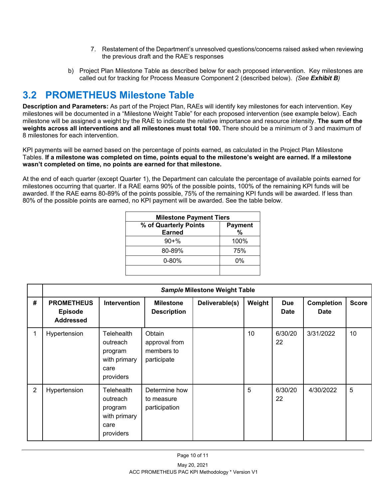- 7. Restatement of the Department's unresolved questions/concerns raised asked when reviewing the previous draft and the RAE's responses
- b) Project Plan Milestone Table as described below for each proposed intervention. Key milestones are called out for tracking for Process Measure Component 2 (described below). *(See Exhibit B)*

#### **3.2 PROMETHEUS Milestone Table**

**Description and Parameters:** As part of the Project Plan, RAEs will identify key milestones for each intervention. Key milestones will be documented in a "Milestone Weight Table" for each proposed intervention (see example below). Each milestone will be assigned a weight by the RAE to indicate the relative importance and resource intensity. **The sum of the weights across all interventions and all milestones must total 100.** There should be a minimum of 3 and maximum of 8 milestones for each intervention.

KPI payments will be earned based on the percentage of points earned, as calculated in the Project Plan Milestone Tables. **If a milestone was completed on time, points equal to the milestone's weight are earned. If a milestone wasn't completed on time, no points are earned for that milestone.**

At the end of each quarter (except Quarter 1), the Department can calculate the percentage of available points earned for milestones occurring that quarter. If a RAE earns 90% of the possible points, 100% of the remaining KPI funds will be awarded. If the RAE earns 80-89% of the points possible, 75% of the remaining KPI funds will be awarded. If less than 80% of the possible points are earned, no KPI payment will be awarded. See the table below.

| <b>Milestone Payment Tiers</b> |  |  |  |
|--------------------------------|--|--|--|
| <b>Payment</b><br>%            |  |  |  |
| 100%                           |  |  |  |
| 75%                            |  |  |  |
| 0%                             |  |  |  |
|                                |  |  |  |

|                | Sample Milestone Weight Table                           |                                                                        |                                                      |                |        |                           |                                  |              |
|----------------|---------------------------------------------------------|------------------------------------------------------------------------|------------------------------------------------------|----------------|--------|---------------------------|----------------------------------|--------------|
| #              | <b>PROMETHEUS</b><br><b>Episode</b><br><b>Addressed</b> | Intervention                                                           | <b>Milestone</b><br><b>Description</b>               | Deliverable(s) | Weight | <b>Due</b><br><b>Date</b> | <b>Completion</b><br><b>Date</b> | <b>Score</b> |
|                | Hypertension                                            | Telehealth<br>outreach<br>program<br>with primary<br>care<br>providers | Obtain<br>approval from<br>members to<br>participate |                | 10     | 6/30/20<br>22             | 3/31/2022                        | 10           |
| $\overline{2}$ | Hypertension                                            | Telehealth<br>outreach<br>program<br>with primary<br>care<br>providers | Determine how<br>to measure<br>participation         |                | 5      | 6/30/20<br>22             | 4/30/2022                        | 5            |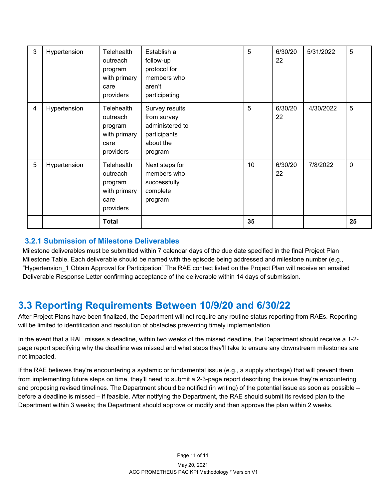| 3               | Hypertension | Telehealth<br>outreach<br>program<br>with primary<br>care<br>providers        | Establish a<br>follow-up<br>protocol for<br>members who<br>aren't<br>participating       | 5  | 6/30/20<br>22 | 5/31/2022 | 5            |
|-----------------|--------------|-------------------------------------------------------------------------------|------------------------------------------------------------------------------------------|----|---------------|-----------|--------------|
| 4               | Hypertension | <b>Telehealth</b><br>outreach<br>program<br>with primary<br>care<br>providers | Survey results<br>from survey<br>administered to<br>participants<br>about the<br>program | 5  | 6/30/20<br>22 | 4/30/2022 | 5            |
| $5\phantom{.0}$ | Hypertension | Telehealth<br>outreach<br>program<br>with primary<br>care<br>providers        | Next steps for<br>members who<br>successfully<br>complete<br>program                     | 10 | 6/30/20<br>22 | 7/8/2022  | $\mathbf{0}$ |
|                 |              | <b>Total</b>                                                                  |                                                                                          | 35 |               |           | 25           |

#### **3.2.1 Submission of Milestone Deliverables**

Milestone deliverables must be submitted within 7 calendar days of the due date specified in the final Project Plan Milestone Table. Each deliverable should be named with the episode being addressed and milestone number (e.g., "Hypertension 1 Obtain Approval for Participation" The RAE contact listed on the Project Plan will receive an emailed Deliverable Response Letter confirming acceptance of the deliverable within 14 days of submission.

#### **3.3 Reporting Requirements Between 10/9/20 and 6/30/22**

After Project Plans have been finalized, the Department will not require any routine status reporting from RAEs. Reporting will be limited to identification and resolution of obstacles preventing timely implementation.

In the event that a RAE misses a deadline, within two weeks of the missed deadline, the Department should receive a 1-2 page report specifying why the deadline was missed and what steps they'll take to ensure any downstream milestones are not impacted.

If the RAE believes they're encountering a systemic or fundamental issue (e.g., a supply shortage) that will prevent them from implementing future steps on time, they'll need to submit a 2-3-page report describing the issue they're encountering and proposing revised timelines. The Department should be notified (in writing) of the potential issue as soon as possible – before a deadline is missed – if feasible. After notifying the Department, the RAE should submit its revised plan to the Department within 3 weeks; the Department should approve or modify and then approve the plan within 2 weeks.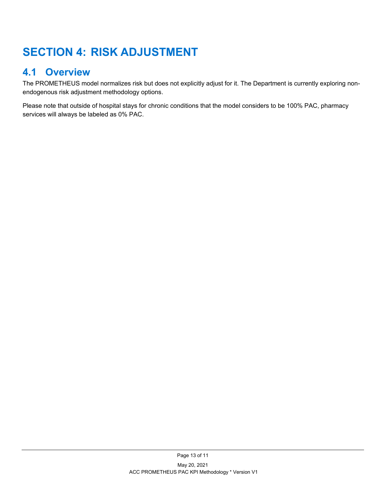## **SECTION 4: RISK ADJUSTMENT**

#### **4.1 Overview**

The PROMETHEUS model normalizes risk but does not explicitly adjust for it. The Department is currently exploring nonendogenous risk adjustment methodology options.

Please note that outside of hospital stays for chronic conditions that the model considers to be 100% PAC, pharmacy services will always be labeled as 0% PAC.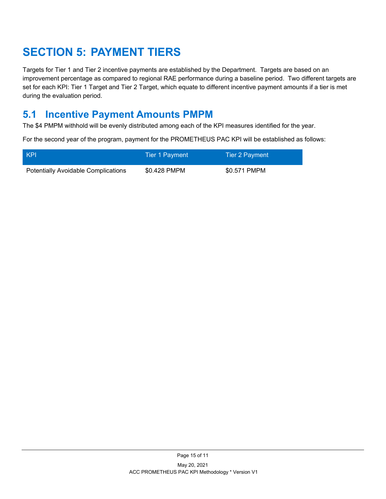## **SECTION 5: PAYMENT TIERS**

Targets for Tier 1 and Tier 2 incentive payments are established by the Department. Targets are based on an improvement percentage as compared to regional RAE performance during a baseline period. Two different targets are set for each KPI: Tier 1 Target and Tier 2 Target, which equate to different incentive payment amounts if a tier is met during the evaluation period.

### **5.1 Incentive Payment Amounts PMPM**

The \$4 PMPM withhold will be evenly distributed among each of the KPI measures identified for the year.

For the second year of the program, payment for the PROMETHEUS PAC KPI will be established as follows:

| KPI                                        | Tier 1 Payment | Tier 2 Payment |
|--------------------------------------------|----------------|----------------|
| <b>Potentially Avoidable Complications</b> | \$0.428 PMPM   | \$0.571 PMPM   |